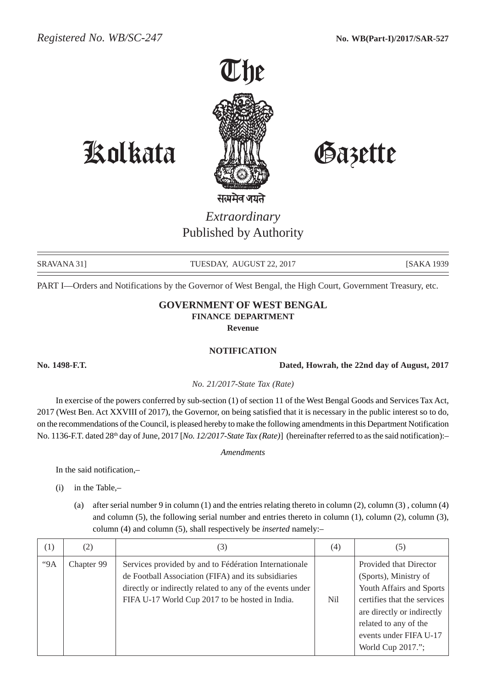

Kolkata Gazette

*Extraordinary* Published by Authority

SRAVANA 31] TUESDAY, AUGUST 22, 2017 [SAKA 1939]

PART I—Orders and Notifications by the Governor of West Bengal, the High Court, Government Treasury, etc.

## **GOVERNMENT OF WEST BENGAL FINANCE DEPARTMENT Revenue**

## **NOTIFICATION**

**No. 1498-F.T. Dated, Howrah, the 22nd day of August, 2017**

*No. 21/2017-State Tax (Rate)*

In exercise of the powers conferred by sub-section (1) of section 11 of the West Bengal Goods and Services Tax Act, 2017 (West Ben. Act XXVIII of 2017), the Governor, on being satisfied that it is necessary in the public interest so to do, on the recommendations of the Council, is pleased hereby to make the following amendments in this Department Notification No. 1136-F.T. dated 28<sup>th</sup> day of June, 2017 [*No. 12/2017-State Tax (Rate)*] (hereinafter referred to as the said notification):-

*Amendments*

In the said notification,–

- (i) in the Table,–
	- (a) after serial number 9 in column (1) and the entries relating thereto in column (2), column (3) , column (4) and column (5), the following serial number and entries thereto in column (1), column (2), column (3), column (4) and column (5), shall respectively be *inserted* namely:–

| (1) | (2)        | 3)                                                                                                                                                                                                                           | (4) | (5)                                                                                                                                                                                                              |
|-----|------------|------------------------------------------------------------------------------------------------------------------------------------------------------------------------------------------------------------------------------|-----|------------------------------------------------------------------------------------------------------------------------------------------------------------------------------------------------------------------|
| "9A | Chapter 99 | Services provided by and to Fédération Internationale<br>de Football Association (FIFA) and its subsidiaries<br>directly or indirectly related to any of the events under<br>FIFA U-17 World Cup 2017 to be hosted in India. | Nil | Provided that Director<br>(Sports), Ministry of<br>Youth Affairs and Sports<br>certifies that the services<br>are directly or indirectly<br>related to any of the<br>events under FIFA U-17<br>World Cup 2017."; |